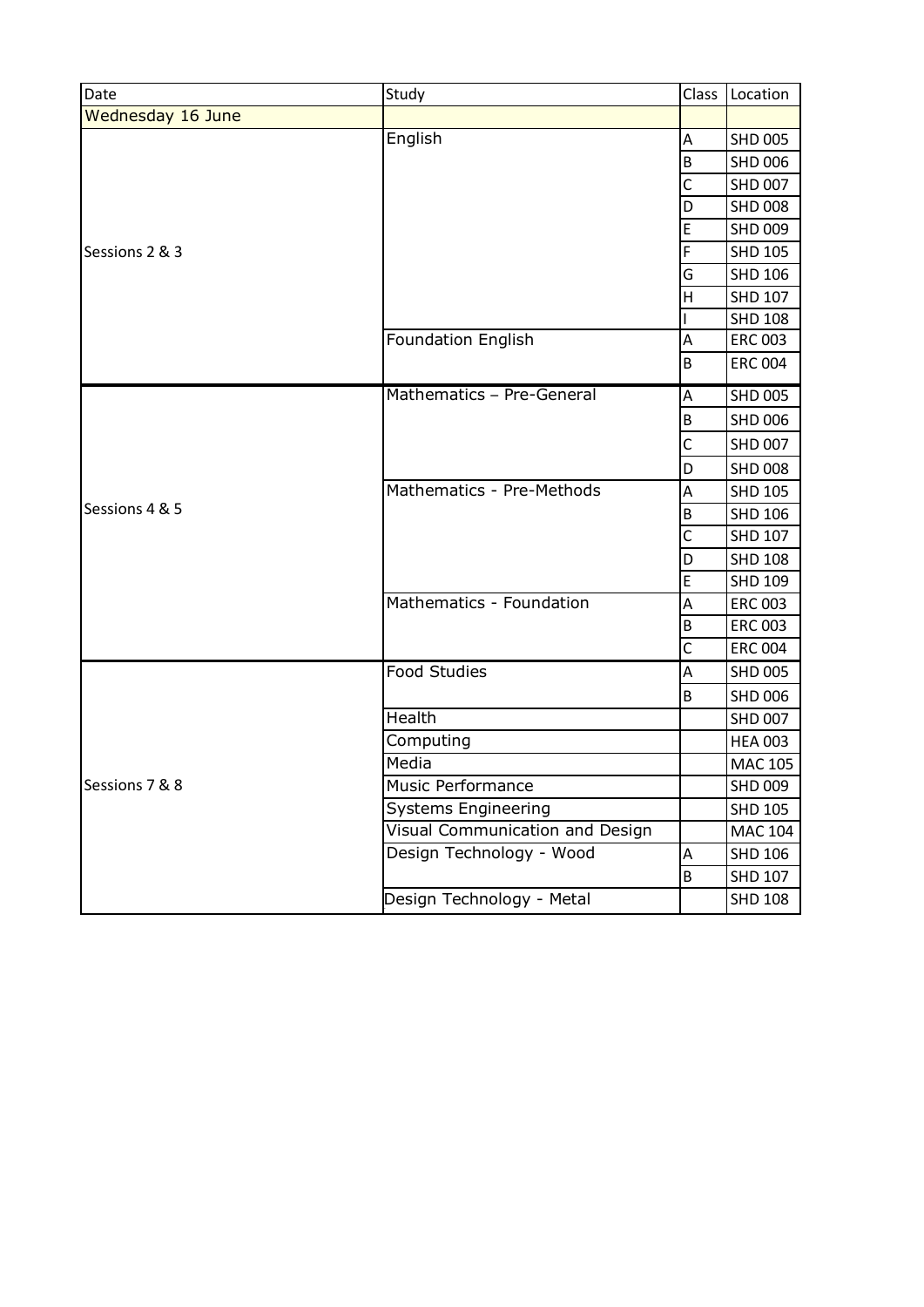| Date              | Study                           | Class       | Location       |
|-------------------|---------------------------------|-------------|----------------|
| Wednesday 16 June |                                 |             |                |
|                   | English                         | A           | <b>SHD 005</b> |
|                   |                                 | B           | <b>SHD 006</b> |
|                   |                                 | $\mathsf C$ | <b>SHD 007</b> |
|                   |                                 | D           | <b>SHD 008</b> |
|                   |                                 | E           | <b>SHD 009</b> |
| Sessions 2 & 3    |                                 | F           | <b>SHD 105</b> |
|                   |                                 | G           | <b>SHD 106</b> |
|                   |                                 | H           | <b>SHD 107</b> |
|                   |                                 |             | <b>SHD 108</b> |
|                   | <b>Foundation English</b>       | A           | <b>ERC 003</b> |
|                   |                                 | B           | <b>ERC 004</b> |
|                   | Mathematics - Pre-General       | A           | <b>SHD 005</b> |
|                   |                                 | B           | <b>SHD 006</b> |
|                   |                                 | $\mathsf C$ | <b>SHD 007</b> |
|                   |                                 | D           | <b>SHD 008</b> |
|                   | Mathematics - Pre-Methods       | A           | <b>SHD 105</b> |
| Sessions 4 & 5    |                                 | $\sf B$     | <b>SHD 106</b> |
|                   |                                 | $\mathsf C$ | <b>SHD 107</b> |
|                   |                                 | D           | <b>SHD 108</b> |
|                   |                                 | E           | <b>SHD 109</b> |
|                   | Mathematics - Foundation        | A           | <b>ERC 003</b> |
|                   |                                 | $\sf B$     | <b>ERC 003</b> |
|                   |                                 | C           | <b>ERC 004</b> |
|                   | <b>Food Studies</b>             | A           | <b>SHD 005</b> |
|                   |                                 | $\sf B$     | <b>SHD 006</b> |
|                   | Health                          |             | <b>SHD 007</b> |
|                   | Computing                       |             | <b>HEA 003</b> |
|                   | Media                           |             | <b>MAC 105</b> |
| Sessions 7 & 8    | <b>Music Performance</b>        |             | <b>SHD 009</b> |
|                   | <b>Systems Engineering</b>      |             | <b>SHD 105</b> |
|                   | Visual Communication and Design |             | <b>MAC 104</b> |
|                   | Design Technology - Wood        | A           | <b>SHD 106</b> |
|                   |                                 | B           | <b>SHD 107</b> |
|                   | Design Technology - Metal       |             | <b>SHD 108</b> |